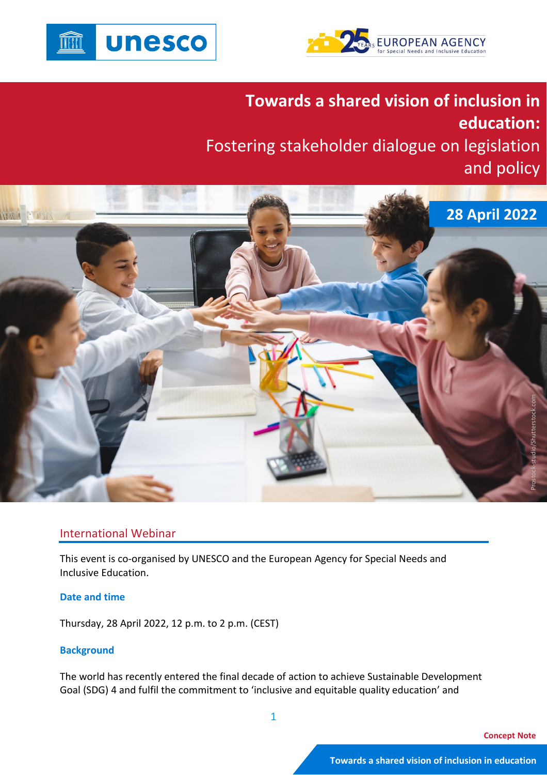



**Towards a shared vision of inclusion in education:** Fostering stakeholder dialogue on legislation and policy



# International Webinar

This event is co-organised by UNESCO and the European Agency for Special Needs and Inclusive Education.

# **Date and time**

Thursday, 28 April 2022, 12 p.m. to 2 p.m. (CEST)

# **Background**

The world has recently entered the final decade of action to achieve Sustainable Development Goal (SDG) 4 and fulfil the commitment to 'inclusive and equitable quality education' and

1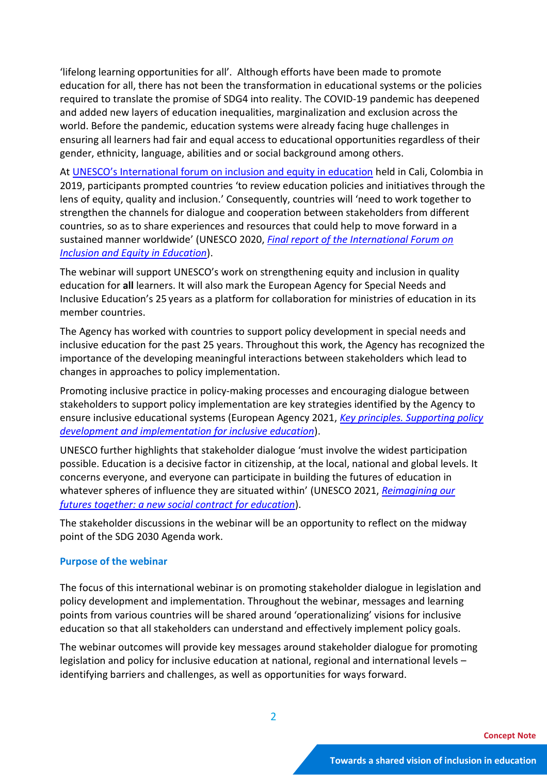'lifelong learning opportunities for all'. Although efforts have been made to promote education for all, there has not been the transformation in educational systems or the policies required to translate the promise of SDG4 into reality. The COVID-19 pandemic has deepened and added new layers of education inequalities, marginalization and exclusion across the world. Before the pandemic, education systems were already facing huge challenges in ensuring all learners had fair and equal access to educational opportunities regardless of their gender, ethnicity, language, abilities and or social background among others.

At [UNESCO's International forum on inclusion and equity in education](https://en.unesco.org/themes/inclusion-in-education/international-forum-2019) held in Cali, Colombia in 2019, participants prompted countries 'to review education policies and initiatives through the lens of equity, quality and inclusion.' Consequently, countries will 'need to work together to strengthen the channels for dialogue and cooperation between stakeholders from different countries, so as to share experiences and resources that could help to move forward in a sustained manner worldwide' (UNESCO 2020, *[Final report of the International Forum on](https://unesdoc.unesco.org/ark:/48223/pf0000372651)  [Inclusion and Equity in Education](https://unesdoc.unesco.org/ark:/48223/pf0000372651)*).

The webinar will support UNESCO's work on strengthening equity and inclusion in quality education for **all** learners. It will also mark the European Agency for Special Needs and Inclusive Education's 25 years as a platform for collaboration for ministries of education in its member countries.

The Agency has worked with countries to support policy development in special needs and inclusive education for the past 25 years. Throughout this work, the Agency has recognized the importance of the developing meaningful interactions between stakeholders which lead to changes in approaches to policy implementation.

Promoting inclusive practice in policy-making processes and encouraging dialogue between stakeholders to support policy implementation are key strategies identified by the Agency to ensure inclusive educational systems (European Agency 2021, *Key [principles. Supporting policy](https://www.european-agency.org/sites/default/files/Key%20Principles%20%E2%80%93%20Supporting%20policy%20development%20and%20implementation%20for%20inclusive%20education_1.pdf)  [development and implementation for inclusive education](https://www.european-agency.org/sites/default/files/Key%20Principles%20%E2%80%93%20Supporting%20policy%20development%20and%20implementation%20for%20inclusive%20education_1.pdf)*).

UNESCO further highlights that stakeholder dialogue 'must involve the widest participation possible. Education is a decisive factor in citizenship, at the local, national and global levels. It concerns everyone, and everyone can participate in building the futures of education in whatever spheres of influence they are situated within' (UNESCO 2021, *[Reimagining our](https://unesdoc.unesco.org/ark:/48223/pf0000379707?1=null&queryId=N-EXPLORE-b70bdf32-5ef7-4207-a528-b3237cb09d08)  [futures together: a new social contract for education](https://unesdoc.unesco.org/ark:/48223/pf0000379707?1=null&queryId=N-EXPLORE-b70bdf32-5ef7-4207-a528-b3237cb09d08)*).

The stakeholder discussions in the webinar will be an opportunity to reflect on the midway point of the SDG 2030 Agenda work.

# **Purpose of the webinar**

The focus of this international webinar is on promoting stakeholder dialogue in legislation and policy development and implementation. Throughout the webinar, messages and learning points from various countries will be shared around 'operationalizing' visions for inclusive education so that all stakeholders can understand and effectively implement policy goals.

The webinar outcomes will provide key messages around stakeholder dialogue for promoting legislation and policy for inclusive education at national, regional and international levels – identifying barriers and challenges, as well as opportunities for ways forward.

2